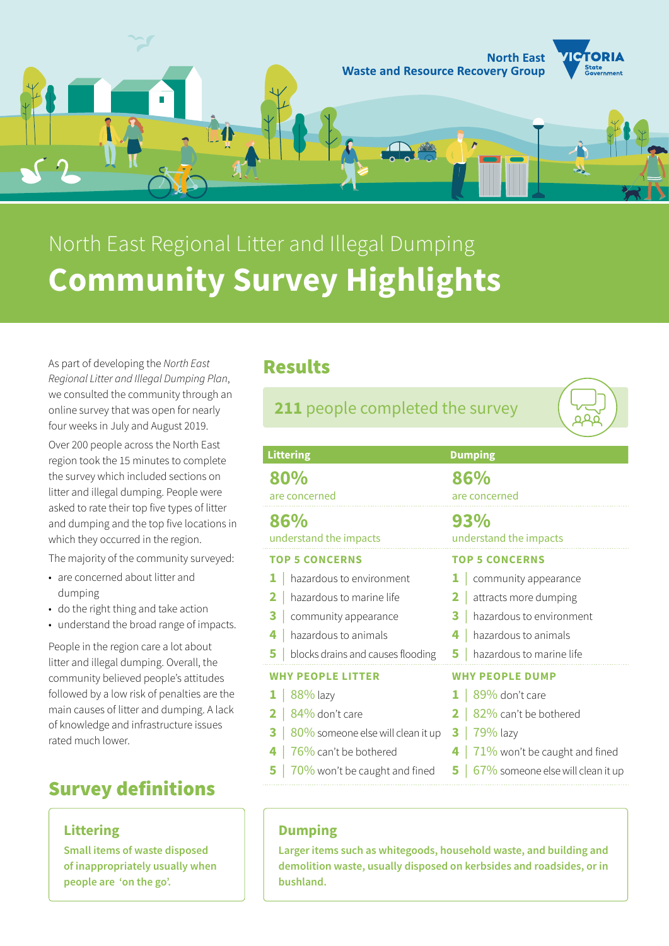

# North East Regional Litter and Illegal Dumping **Community Survey Highlights**

As part of developing the *North East Regional Litter and Illegal Dumping Plan*, we consulted the community through an online survey that was open for nearly four weeks in July and August 2019.

Over 200 people across the North East region took the 15 minutes to complete the survey which included sections on litter and illegal dumping. People were asked to rate their top five types of litter and dumping and the top five locations in which they occurred in the region.

The majority of the community surveyed:

- are concerned about litter and dumping
- do the right thing and take action
- understand the broad range of impacts.

People in the region care a lot about litter and illegal dumping. Overall, the community believed people's attitudes followed by a low risk of penalties are the main causes of litter and dumping. A lack of knowledge and infrastructure issues rated much lower.

### Survey definitions

#### **Littering**

**Small items of waste disposed of inappropriately usually when people are 'on the go'.**

### Results

**211** people completed the survey

| <b>Littering</b>              |                                   | <b>Dumping</b>                |                                   |
|-------------------------------|-----------------------------------|-------------------------------|-----------------------------------|
| 80%<br>are concerned          |                                   | 86%<br>are concerned          |                                   |
| 86%<br>understand the impacts |                                   | 93%<br>understand the impacts |                                   |
| <b>TOP 5 CONCERNS</b>         |                                   | <b>TOP 5 CONCERNS</b>         |                                   |
| 11                            | hazardous to environment          |                               | community appearance              |
| $\mathbf{2}$                  | hazardous to marine life          | 2                             | attracts more dumping             |
| 3.                            | community appearance              | з                             | hazardous to environment          |
| 4                             | hazardous to animals              | 4                             | hazardous to animals              |
| 5                             | blocks drains and causes flooding | 5 I                           | hazardous to marine life          |
| <b>WHY PEOPLE LITTER</b>      |                                   | <b>WHY PEOPLE DUMP</b>        |                                   |
|                               | 88% lazy                          |                               | 89% don't care                    |
| 2.                            | 84% don't care                    | 2.                            | 82% can't be bothered             |
| 3.                            | 80% someone else will clean it up | 3                             | 79% lazy                          |
| 4                             | 76% can't be bothered             | 4                             | $71\%$ won't be caught and fined  |
| 5                             | 70% won't be caught and fined     | 5                             | 67% someone else will clean it up |

#### **Dumping**

**Larger items such as whitegoods, household waste, and building and demolition waste, usually disposed on kerbsides and roadsides, or in bushland.**